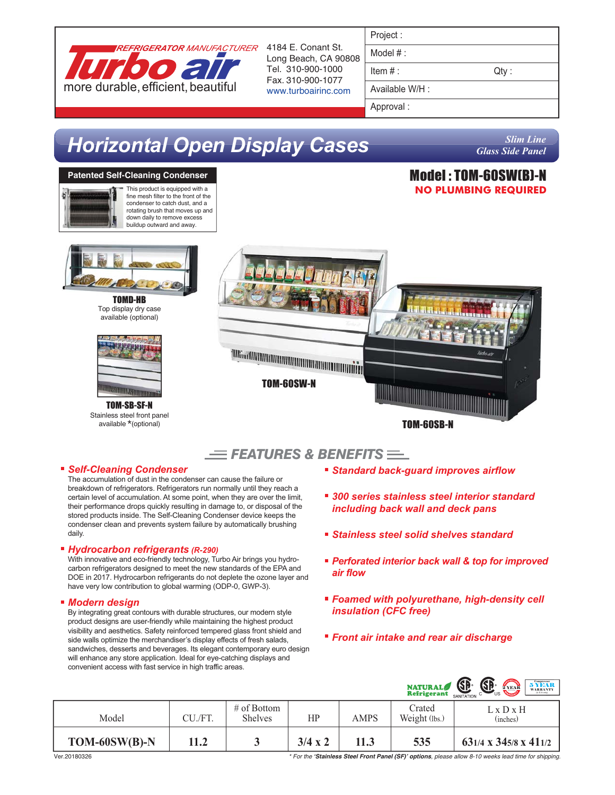

Long Beach, CA 90808 Tel. 310-900-1000 Fax. 310-900-1077 www.turboairinc.com

| Project |  |
|---------|--|

Model # :

 $Item #:$  Qty :

Model : TOM-60SW(B)-N **NO PLUMBING REQUIRED**

Available W/H :

Approval :

# *Horizontal Open Display Cases*

*Slim Line Glass Side Panel*

#### **Patented Self-Cleaning Condenser**



This product is equipped with a fine mesh filter to the front of the condenser to catch dust, and a rotating brush that moves up and down daily to remove excess buildup outward and away.



TOMD-HB Top display dry case available (optional)



TOM-SB-SF-N Stainless steel front panel available \*(optional)



 $F$ *FEATURES & BENEFITS* $F$ 

#### *Self-Cleaning Condenser*

The accumulation of dust in the condenser can cause the failure or breakdown of refrigerators. Refrigerators run normally until they reach a certain level of accumulation. At some point, when they are over the limit, their performance drops quickly resulting in damage to, or disposal of the stored products inside. The Self-Cleaning Condenser device keeps the condenser clean and prevents system failure by automatically brushing daily.

#### *Hydrocarbon refrigerants (R-290)*

With innovative and eco-friendly technology, Turbo Air brings you hydrocarbon refrigerators designed to meet the new standards of the EPA and DOE in 2017. Hydrocarbon refrigerants do not deplete the ozone layer and have very low contribution to global warming (ODP-0, GWP-3).

#### *Modern design*

By integrating great contours with durable structures, our modern style product designs are user-friendly while maintaining the highest product visibility and aesthetics. Safety reinforced tempered glass front shield and side walls optimize the merchandiser's display effects of fresh salads, sandwiches, desserts and beverages. Its elegant contemporary euro design will enhance any store application. Ideal for eye-catching displays and convenient access with fast service in high traffic areas.

- *Standard back-guard improves airflow*
- *300 series stainless steel interior standard including back wall and deck pans*
- *Stainless steel solid shelves standard*
- *Perforated interior back wall & top for improved air flow*
- *Foamed with polyurethane, high-density cell insulation (CFC free)*
- *Front air intake and rear air discharge*

|                 |         |                                  |                |      | <b>NATURAL</b>          | <b>SB</b><br>SANITATION<br>$\underset{{\scriptscriptstyle{\text{ULLARTY}}}}{\textbf{5}} \underset{{\scriptscriptstyle{\text{ULIAC}}}}{\textbf{YEAR}} \underset{{\scriptscriptstyle{\text{ULIAC}}}}{\textbf{1}}$<br>2 YEAR<br>US. |
|-----------------|---------|----------------------------------|----------------|------|-------------------------|----------------------------------------------------------------------------------------------------------------------------------------------------------------------------------------------------------------------------------|
| Model           | CU./FT. | $\#$ of Bottom<br><b>Shelves</b> | HP             | AMPS | Crated<br>Weight (lbs.) | $L \times D \times H$<br>(inches)                                                                                                                                                                                                |
| $TOM-60SW(B)-N$ | 11.2    |                                  | $3/4 \times 2$ | 11.3 | 535                     | 631/4 x 345/8 x 411/2                                                                                                                                                                                                            |

Ver.20180326 *\* For the 'Stainless Steel Front Panel (SF)' options, please allow 8-10 weeks lead time for shipping.*